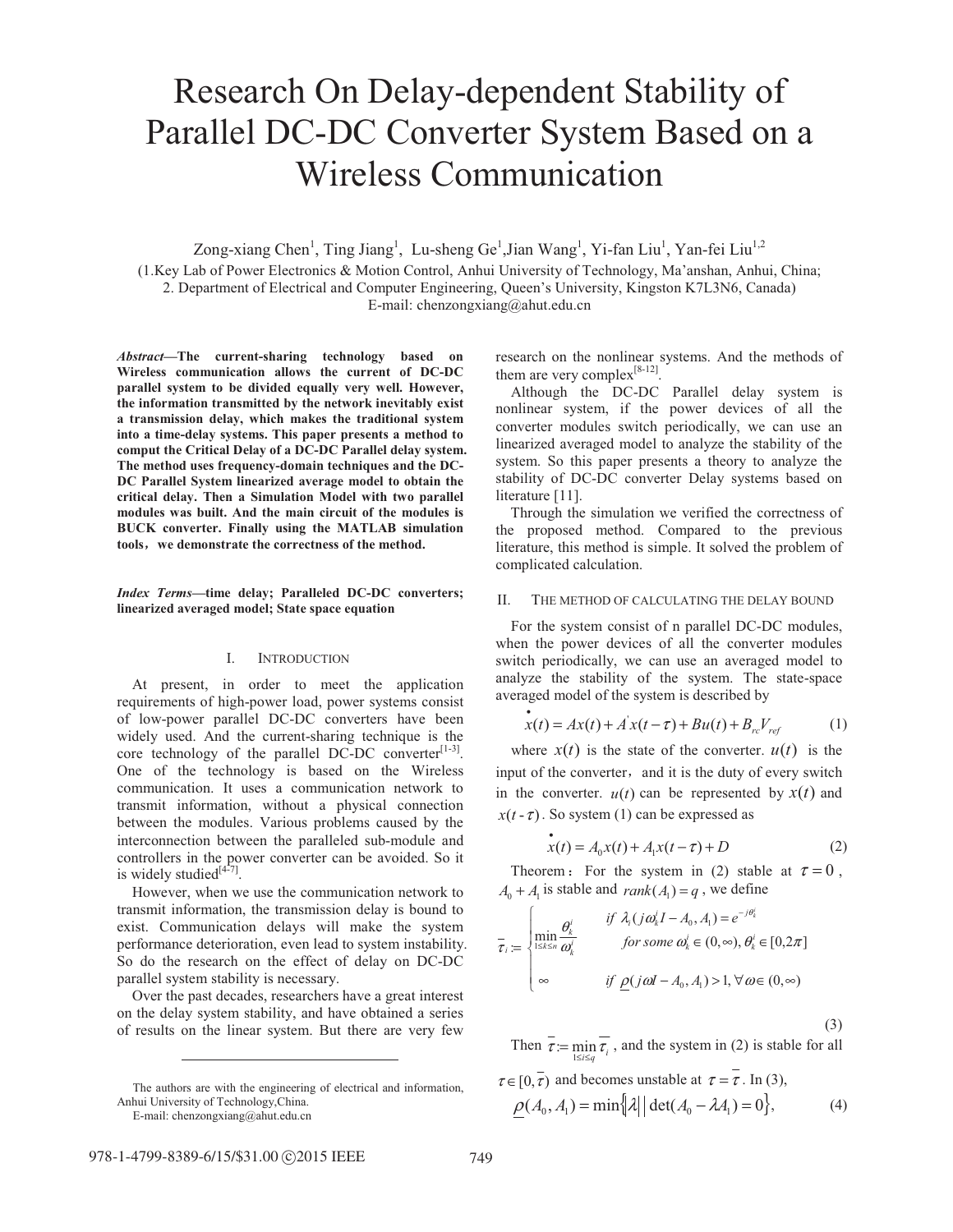# Research On Delay-dependent Stability of Parallel DC-DC Converter System Based on a Wireless Communication

Zong-xiang Chen<sup>1</sup>, Ting Jiang<sup>1</sup>, Lu-sheng Ge<sup>1</sup>,Jian Wang<sup>1</sup>, Yi-fan Liu<sup>1</sup>, Yan-fei Liu<sup>1,2</sup> (1.Key Lab of Power Electronics & Motion Control, Anhui University of Technology, Ma'anshan, Anhui, China; 2. Department of Electrical and Computer Engineering, Queen's University, Kingston K7L3N6, Canada) E-mail: chenzongxiang@ahut.edu.cn

*Abstract***—The current-sharing technology based on Wireless communication allows the current of DC-DC parallel system to be divided equally very well. However, the information transmitted by the network inevitably exist a transmission delay, which makes the traditional system into a time-delay systems. This paper presents a method to comput the Critical Delay of a DC-DC Parallel delay system. The method uses frequency-domain techniques and the DC-DC Parallel System linearized average model to obtain the critical delay. Then a Simulation Model with two parallel modules was built. And the main circuit of the modules is BUCK converter. Finally using the MATLAB simulation**  tools, we demonstrate the correctness of the method.

## *Index Terms***—time delay; Paralleled DC-DC converters; linearized averaged model; State space equation**

#### I. INTRODUCTION

 At present, in order to meet the application requirements of high-power load, power systems consist of low-power parallel DC-DC converters have been widely used. And the current-sharing technique is the core technology of the parallel DC-DC converter $[1-3]$ . One of the technology is based on the Wireless communication. It uses a communication network to transmit information, without a physical connection between the modules. Various problems caused by the interconnection between the paralleled sub-module and controllers in the power converter can be avoided. So it is widely studied $[4-7]$ .

 However, when we use the communication network to transmit information, the transmission delay is bound to exist. Communication delays will make the system performance deterioration, even lead to system instability. So do the research on the effect of delay on DC-DC parallel system stability is necessary.

 Over the past decades, researchers have a great interest on the delay system stability, and have obtained a series of results on the linear system. But there are very few

E-mail: chenzongxiang@ahut.edu.cn

 $\overline{a}$ 

research on the nonlinear systems. And the methods of them are very complex<sup>[8-12]</sup>.

 Although the DC-DC Parallel delay system is nonlinear system, if the power devices of all the converter modules switch periodically, we can use an linearized averaged model to analyze the stability of the system. So this paper presents a theory to analyze the stability of DC-DC converter Delay systems based on literature [11].

 Through the simulation we verified the correctness of the proposed method. Compared to the previous literature, this method is simple. It solved the problem of complicated calculation.

## II. THE METHOD OF CALCULATING THE DELAY BOUND

 For the system consist of n parallel DC-DC modules, when the power devices of all the converter modules switch periodically, we can use an averaged model to analyze the stability of the system. The state-space averaged model of the system is described by

$$
x(t) = Ax(t) + A'x(t-\tau) + Bu(t) + B_{rc}V_{ref}
$$
 (1)

where  $x(t)$  is the state of the converter.  $u(t)$  is the input of the converter, and it is the duty of every switch in the converter.  $u(t)$  can be represented by  $x(t)$  and  $x(t-\tau)$ . So system (1) can be expressed as

$$
x(t) = A_0 x(t) + A_1 x(t - \tau) + D \tag{2}
$$

Theorem: For the system in (2) stable at  $\tau = 0$ ,  $A_0 + A_1$  is stable and  $rank(A_1) = q$ , we define

$$
\overline{\tau}_{i} := \begin{cases}\n\min_{1 \leq k \leq n} \frac{\theta_{k}^{i}}{\omega_{k}^{i}} & \text{if } \lambda_{i} (j\omega_{k}^{i}I - A_{0}, A_{1}) = e^{-j\theta_{k}^{i}} \\
for some \omega_{k}^{i} \in (0, \infty), \theta_{k}^{i} \in [0, 2\pi] \\
\infty & \text{if } \underline{\rho}(j\omega I - A_{0}, A_{1}) > 1, \forall \omega \in (0, \infty)\n\end{cases}
$$

(3)

Then  $\tau := \min_{1 \le i \le q} \tau_i$ , and the system in (2) is stable for all  $≤ i≤$  $\frac{1}{\sqrt{1-\pi}}$  and becomes unstable at  $\tau = \frac{1}{\pi}$ . In (3),

$$
\tau \in [0, \tau) \text{ and becomes unstable at } \tau = \tau \text{ . In (3),}
$$

$$
\rho(A_0, A_1) = \min\left\{\lambda \middle| \det(A_0 - \lambda A_1) = 0\right\},\tag{4}
$$

The authors are with the engineering of electrical and information, Anhui University of Technology,China.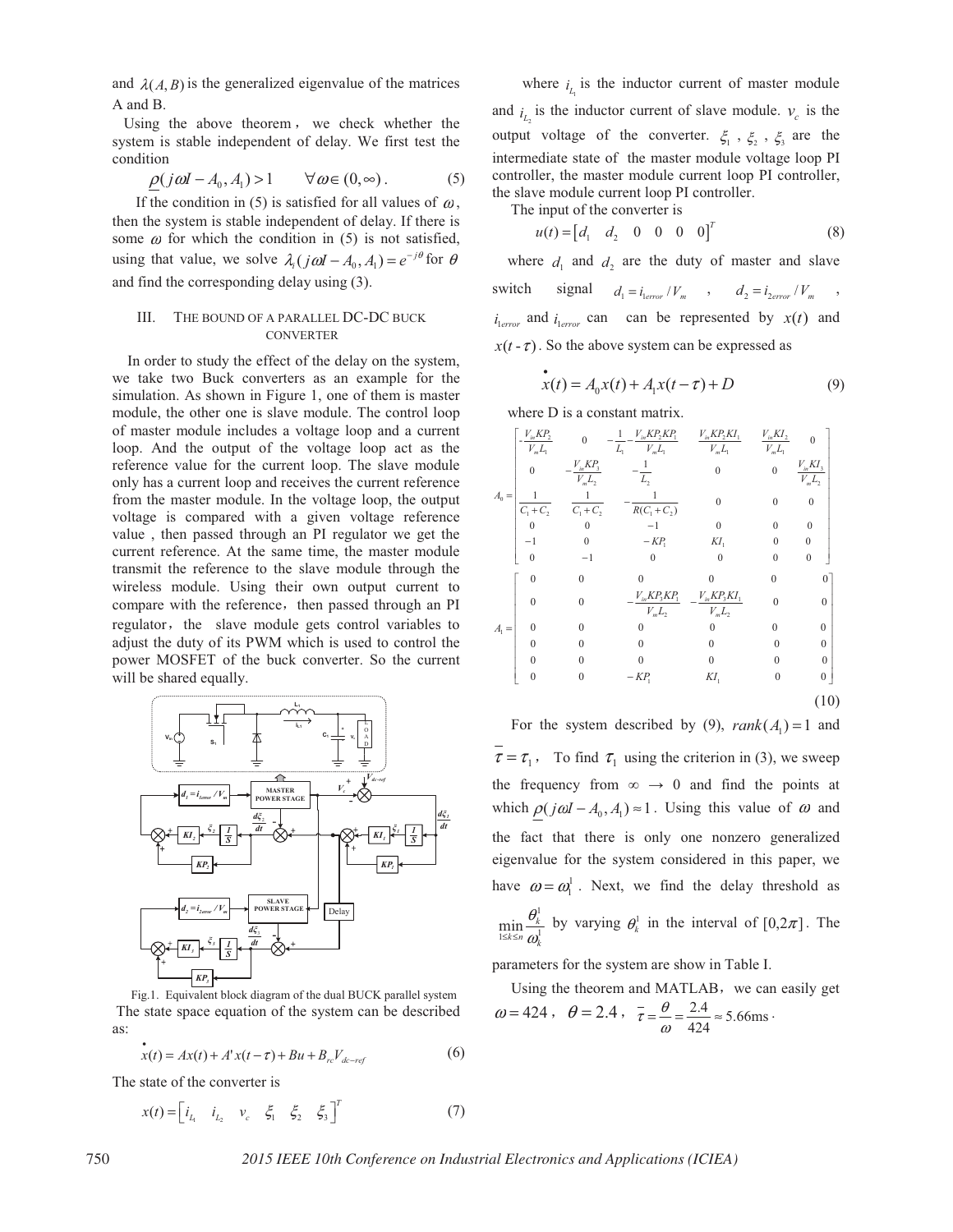and  $\lambda(A, B)$  is the generalized eigenvalue of the matrices A and B.

Using the above theorem, we check whether the system is stable independent of delay. We first test the condition

$$
\rho(j\omega I - A_0, A_1) > 1 \qquad \forall \omega \in (0, \infty).
$$
 (5)

If the condition in (5) is satisfied for all values of  $\omega$ , then the system is stable independent of delay. If there is some  $\omega$  for which the condition in (5) is not satisfied, using that value, we solve  $\lambda_i$   $(j\omega I - A_0, A_1) = e^{-j\theta}$  for  $\theta$ and find the corresponding delay using (3).

## III. THE BOUND OF A PARALLEL DC-DC BUCK **CONVERTER**

 In order to study the effect of the delay on the system, we take two Buck converters as an example for the simulation. As shown in Figure 1, one of them is master module, the other one is slave module. The control loop of master module includes a voltage loop and a current loop. And the output of the voltage loop act as the reference value for the current loop. The slave module only has a current loop and receives the current reference from the master module. In the voltage loop, the output voltage is compared with a given voltage reference value , then passed through an PI regulator we get the current reference. At the same time, the master module transmit the reference to the slave module through the wireless module. Using their own output current to compare with the reference, then passed through an PI regulator, the slave module gets control variables to adjust the duty of its PWM which is used to control the power MOSFET of the buck converter. So the current will be shared equally.



Fig.1. Equivalent block diagram of the dual BUCK parallel system The state space equation of the system can be described as:

$$
\dot{x}(t) = Ax(t) + A'x(t-\tau) + Bu + B_{rc}V_{dc-reg}
$$
 (6)

The state of the converter is

$$
x(t) = \begin{bmatrix} i_{L_1} & i_{L_2} & v_c & \xi_1 & \xi_2 & \xi_3 \end{bmatrix}^T \tag{7}
$$

where  $i_l$  is the inductor current of master module and  $i<sub>i</sub>$  is the inductor current of slave module.  $v<sub>e</sub>$  is the output voltage of the converter.  $\xi_1$ ,  $\xi_2$ ,  $\xi_3$  are the intermediate state of the master module voltage loop PI controller, the master module current loop PI controller, the slave module current loop PI controller.

The input of the converter is

$$
u(t) = \begin{bmatrix} d_1 & d_2 & 0 & 0 & 0 & 0 \end{bmatrix}^T
$$
 (8)

where  $d_1$  and  $d_2$  are the duty of master and slave switch signal  $d_1 = i_{\text{error}} / V_m$ ,  $d_2 = i_{\text{error}} / V_m$  $i_{\text{lerror}}$  and  $i_{\text{lerror}}$  can can be represented by  $x(t)$  and  $x(t - \tau)$ . So the above system can be expressed as

$$
x(t) = A_0 x(t) + A_1 x(t - \tau) + D \tag{9}
$$

where D is a constant matrix.

$$
A_0 = \begin{bmatrix} -\frac{V_m K P_2}{V_m L_1} & 0 & -\frac{1}{L_1} - \frac{V_m K P_2 K P_1}{V_m L_1} & \frac{V_m K P_2 K I_1}{V_m L_1} & \frac{V_m K I_2}{V_m L_1} & 0 \\ 0 & -\frac{V_m K P_3}{V_m L_2} & -\frac{1}{L_2} & 0 & 0 & \frac{V_m K I_3}{V_m L_2} \\ \frac{1}{C_1 + C_2} & \frac{1}{C_1 + C_2} & -\frac{1}{R(C_1 + C_2)} & 0 & 0 & 0 \\ 0 & 0 & -1 & 0 & 0 & 0 \\ 0 & -1 & 0 & 0 & 0 & 0 \\ 0 & -1 & 0 & 0 & 0 & 0 \end{bmatrix}
$$
  

$$
A_1 = \begin{bmatrix} 0 & 0 & 0 & 0 & 0 & 0 & 0 \\ 0 & 0 & -\frac{V_m K P_3 K P_1}{V_m L_2} & -\frac{V_m K P_3 K I_1}{V_m L_2} & 0 & 0 \\ 0 & 0 & 0 & 0 & 0 & 0 \\ 0 & 0 & 0 & 0 & 0 & 0 \\ 0 & 0 & 0 & 0 & 0 & 0 \\ 0 & 0 & 0 & 0 & 0 & 0 \\ 0 & 0 & 0 & -K P_1 & K I_1 & 0 & 0 \end{bmatrix}
$$
  
(10)

For the system described by (9),  $rank(A_1) = 1$  and  $\tau = \tau_1$ , To find  $\tau_1$  using the criterion in (3), we sweep the frequency from  $\infty \to 0$  and find the points at which  $\rho(j\omega I - A_0, A_1) \approx 1$ . Using this value of  $\omega$  and the fact that there is only one nonzero generalized eigenvalue for the system considered in this paper, we have  $\omega = \omega_1^1$ . Next, we find the delay threshold as 1 1  $\min_{1\leq k\leq n}\frac{\mathbf{v}_k}{\omega_k^1}$ *k k≤n* **ω** θ  $\min_{\lambda \leq k \leq n} \frac{\theta_k}{\omega!}$  by varying  $\theta_k^1$  in the interval of  $[0, 2\pi]$ . The

parameters for the system are show in Table I.

Using the theorem and MATLAB, we can easily get  $\omega = 424$ ,  $\theta = 2.4$ ,  $\bar{\tau} = \frac{\theta}{\omega} = \frac{2.4}{424} \approx 5.66 \text{ms}$  $\overline{\tau} = \frac{\theta}{\tau} = \frac{2.4}{\tau} \approx 5.66 \text{ms}.$ 

750 *2015 IEEE 10th Conference on Industrial Electronics and Applications (ICIEA)*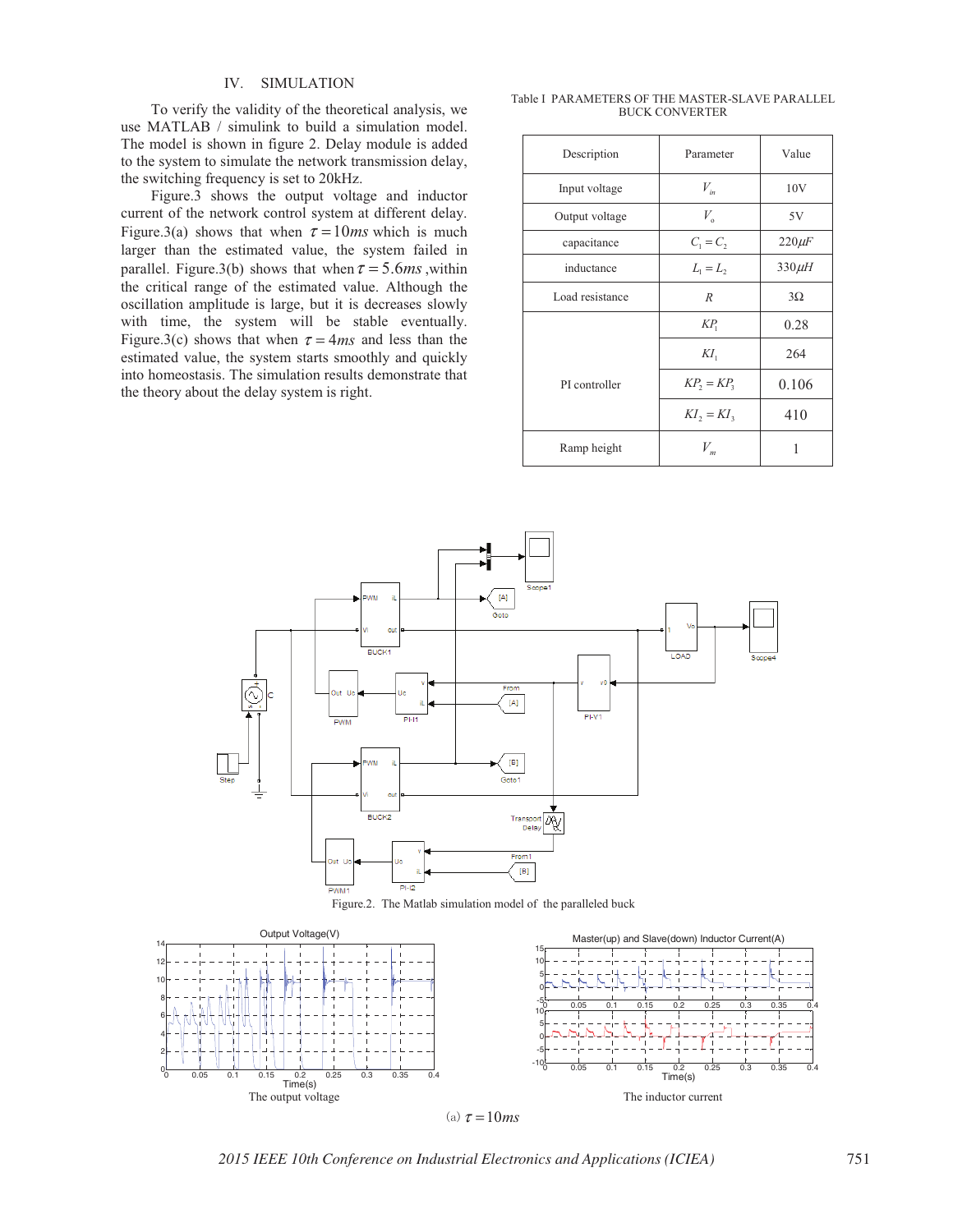## IV. SIMULATION

To verify the validity of the theoretical analysis, we use MATLAB / simulink to build a simulation model. The model is shown in figure 2. Delay module is added to the system to simulate the network transmission delay, the switching frequency is set to 20kHz.

Figure.3 shows the output voltage and inductor current of the network control system at different delay. Figure.3(a) shows that when  $\tau = 10$ *ms* which is much larger than the estimated value, the system failed in parallel. Figure.3(b) shows that when  $\tau = 5.6$ *ms*, within the critical range of the estimated value. Although the oscillation amplitude is large, but it is decreases slowly with time, the system will be stable eventually. Figure.3(c) shows that when  $\tau = 4ms$  and less than the estimated value, the system starts smoothly and quickly into homeostasis. The simulation results demonstrate that the theory about the delay system is right.

Table I PARAMETERS OF THE MASTER-SLAVE PARALLEL BUCK CONVERTER

| Description     | Parameter                             | Value       |
|-----------------|---------------------------------------|-------------|
| Input voltage   | $V_{in}$                              | 10V         |
| Output voltage  | $V_{o}$                               | 5V          |
| capacitance     | $C_1 = C_2$                           | $220 \mu F$ |
| inductance      | $L_1 = L_2$                           | $330\mu$ H  |
| Load resistance | $\boldsymbol{R}$                      | $3\Omega$   |
|                 | $KP_1$                                | 0.28        |
|                 | $KI_1$                                | 264         |
| PI controller   | $KP_2 = KP_3$                         | 0.106       |
|                 | $KI$ <sub>2</sub> = $KI$ <sub>3</sub> | 410         |
| Ramp height     | $V_{m}$                               |             |







*2015 IEEE 10th Conference on Industrial Electronics and Applications (ICIEA)* 751